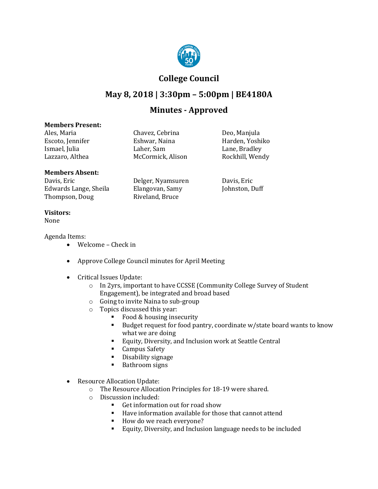

## **College Council**

# **May 8, 2018 | 3:30pm – 5:00pm | BE4180A**

## **Minutes - Approved**

#### **Members Present:**

Ales, Maria Chavez, Cebrina Deo, Manjula Eshwar, Naina **Harden, Yoshiko**<br>Laher, Sam **Harden, Example Harden** Ismael, Julia Laher, Sam Lane, Bradley McCormick, Alison

### **Members Absent:**

Davis, Eric Delger, Nyamsuren Davis, Eric Edwards Lange, Sheila Elangovan, Samy<br>Thompson, Doug Riveland, Bruce Thompson, Doug

### **Visitors:**

None

#### Agenda Items:

- Welcome Check in
- Approve College Council minutes for April Meeting
- Critical Issues Update:
	- o In 2yrs, important to have CCSSE (Community College Survey of Student Engagement), be integrated and broad based
	- o Going to invite Naina to sub-group
	- $\circ$  Topics discussed this year:<br>Food & housing inse-
		- Food & housing insecurity<br>Budget request for food pa
		- Budget request for food pantry, coordinate w/state board wants to know what we are doing
		- Equity, Diversity, and Inclusion work at Seattle Central<br>Campus Safety
		- Campus Safety
		- Disability signage<br>• Bathroom signs
		- Bathroom signs
- Resource Allocation Update:
	- o The Resource Allocation Principles for 18-19 were shared.
	- o Discussion included:
		- Get information out for road show<br>Baye information available for thou
			- Have information available for those that cannot attend
			- How do we reach everyone?
			- Equity, Diversity, and Inclusion language needs to be included